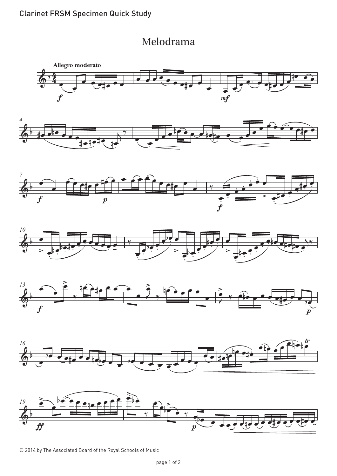## Melodrama Melodrama





© 2014 by The Associated Board of the Royal Schools of Music